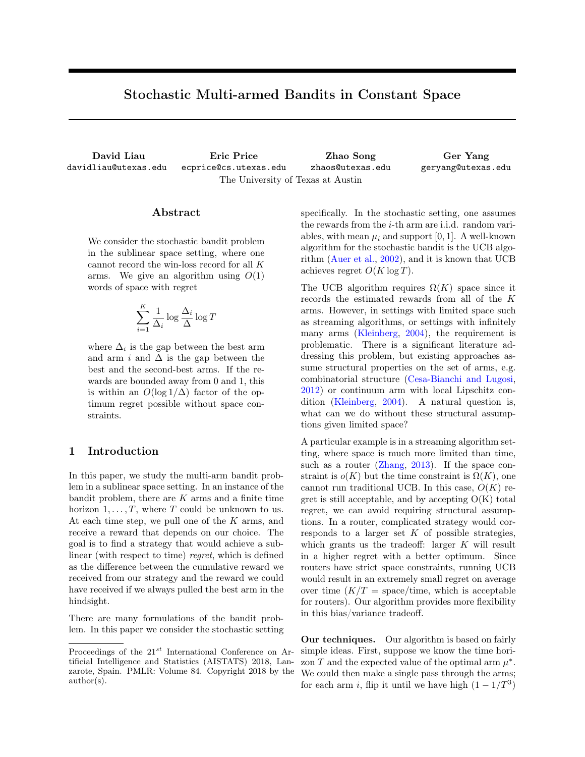# Stochastic Multi-armed Bandits in Constant Space

David Liau davidliau@utexas.edu Eric Price ecprice@cs.utexas.edu Zhao Song zhaos@utexas.edu Ger Yang geryang@utexas.edu The University of Texas at Austin

#### Abstract

We consider the stochastic bandit problem in the sublinear space setting, where one cannot record the win-loss record for all K arms. We give an algorithm using  $O(1)$ words of space with regret

$$
\sum_{i=1}^{K} \frac{1}{\Delta_i} \log \frac{\Delta_i}{\Delta} \log T
$$

where  $\Delta_i$  is the gap between the best arm and arm i and  $\Delta$  is the gap between the best and the second-best arms. If the rewards are bounded away from 0 and 1, this is within an  $O(\log 1/\Delta)$  factor of the optimum regret possible without space constraints.

# 1 Introduction

In this paper, we study the multi-arm bandit problem in a sublinear space setting. In an instance of the bandit problem, there are  $K$  arms and a finite time horizon  $1, \ldots, T$ , where T could be unknown to us. At each time step, we pull one of the  $K$  arms, and receive a reward that depends on our choice. The goal is to find a strategy that would achieve a sublinear (with respect to time) regret, which is defined as the difference between the cumulative reward we received from our strategy and the reward we could have received if we always pulled the best arm in the hindsight.

There are many formulations of the bandit problem. In this paper we consider the stochastic setting specifically. In the stochastic setting, one assumes the rewards from the i-th arm are i.i.d. random variables, with mean  $\mu_i$  and support [0, 1]. A well-known algorithm for the stochastic bandit is the UCB algorithm [\(Auer et al.,](#page-8-0) [2002\)](#page-8-0), and it is known that UCB achieves regret  $O(K \log T)$ .

The UCB algorithm requires  $\Omega(K)$  space since it records the estimated rewards from all of the K arms. However, in settings with limited space such as streaming algorithms, or settings with infinitely many arms [\(Kleinberg,](#page-8-1) [2004\)](#page-8-1), the requirement is problematic. There is a significant literature addressing this problem, but existing approaches assume structural properties on the set of arms, e.g. combinatorial structure [\(Cesa-Bianchi and Lugosi,](#page-8-2) [2012\)](#page-8-2) or continuum arm with local Lipschitz condition [\(Kleinberg,](#page-8-1) [2004\)](#page-8-1). A natural question is, what can we do without these structural assumptions given limited space?

A particular example is in a streaming algorithm setting, where space is much more limited than time, such as a router [\(Zhang,](#page-8-3) [2013\)](#page-8-3). If the space constraint is  $o(K)$  but the time constraint is  $\Omega(K)$ , one cannot run traditional UCB. In this case,  $O(K)$  regret is still acceptable, and by accepting  $O(K)$  total regret, we can avoid requiring structural assumptions. In a router, complicated strategy would corresponds to a larger set  $K$  of possible strategies, which grants us the tradeoff: larger  $K$  will result in a higher regret with a better optimum. Since routers have strict space constraints, running UCB would result in an extremely small regret on average over time  $(K/T = \text{space} / \text{time}$ , which is acceptable for routers). Our algorithm provides more flexibility in this bias/variance tradeoff.

Our techniques. Our algorithm is based on fairly simple ideas. First, suppose we know the time horizon T and the expected value of the optimal arm  $\mu^*$ . We could then make a single pass through the arms; for each arm i, flip it until we have high  $(1 - 1/T<sup>3</sup>)$ 

Proceedings of the  $21^{st}$  International Conference on Artificial Intelligence and Statistics (AISTATS) 2018, Lanzarote, Spain. PMLR: Volume 84. Copyright 2018 by the author(s).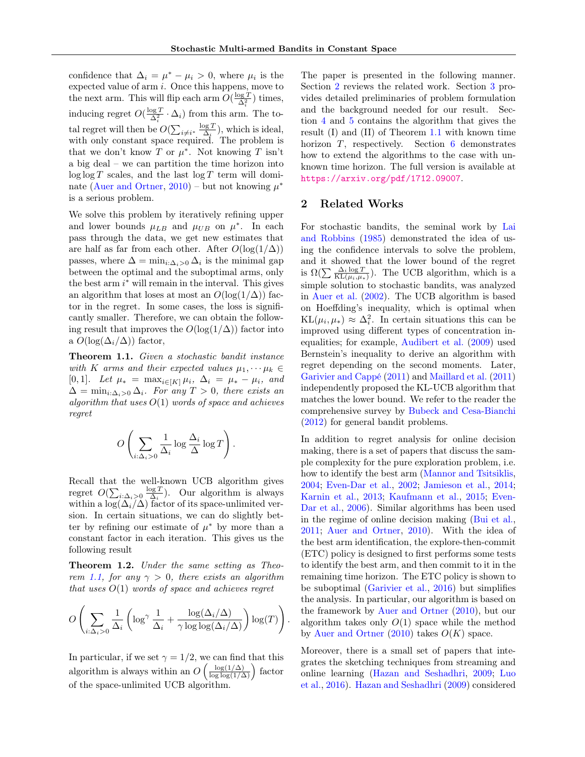confidence that  $\Delta_i = \mu^* - \mu_i > 0$ , where  $\mu_i$  is the expected value of arm i. Once this happens, move to the next arm. This will flip each arm  $O(\frac{\log T}{\Delta_i^2})$  times, inducing regret  $O(\frac{\log T}{\Delta_i^2} \cdot \Delta_i)$  from this arm. The total regret will then be  $O(\sum_{i \neq i^*} \frac{\log T}{\Delta_i})$ , which is ideal, with only constant space required. The problem is that we don't know T or  $\mu^*$ . Not knowing T isn't a big deal – we can partition the time horizon into  $\log \log T$  scales, and the last  $\log T$  term will domi-nate [\(Auer and Ortner,](#page-8-4) [2010\)](#page-8-4) – but not knowing  $\mu^*$ is a serious problem.

We solve this problem by iteratively refining upper and lower bounds  $\mu_{LB}$  and  $\mu_{UB}$  on  $\mu^*$ . In each pass through the data, we get new estimates that are half as far from each other. After  $O(\log(1/\Delta))$ passes, where  $\Delta = \min_{i:\Delta_i>0} \Delta_i$  is the minimal gap between the optimal and the suboptimal arms, only the best arm  $i^*$  will remain in the interval. This gives an algorithm that loses at most an  $O(\log(1/\Delta))$  factor in the regret. In some cases, the loss is significantly smaller. Therefore, we can obtain the following result that improves the  $O(\log(1/\Delta))$  factor into a  $O(\log(\Delta_i/\Delta))$  factor,

<span id="page-1-0"></span>Theorem 1.1. Given a stochastic bandit instance with K arms and their expected values  $\mu_1, \cdots, \mu_k \in$ [0, 1]. Let  $\mu_* = \max_{i \in [K]} \mu_i$ ,  $\Delta_i = \mu_* - \mu_i$ , and  $\Delta = \min_{i:\Delta_i>0}\Delta_i$ . For any  $T>0$ , there exists an algorithm that uses  $O(1)$  words of space and achieves regret

$$
O\left(\sum_{i:\Delta_i>0}\frac{1}{\Delta_i}\log\frac{\Delta_i}{\Delta}\log T\right).
$$

Recall that the well-known UCB algorithm gives regret  $O(\sum_{i:\Delta_i>0} \frac{\log T}{\Delta_i})$ . Our algorithm is always within a  $\log(\Delta_i/\Delta)$  factor of its space-unlimited version. In certain situations, we can do slightly better by refining our estimate of  $\mu^*$  by more than a constant factor in each iteration. This gives us the following result

<span id="page-1-2"></span>Theorem 1.2. Under the same setting as Theo-rem [1.1,](#page-1-0) for any  $\gamma > 0$ , there exists an algorithm that uses  $O(1)$  words of space and achieves regret

$$
O\left(\sum_{i:\Delta_i>0}\frac{1}{\Delta_i}\left(\log^{\gamma}\frac{1}{\Delta_i}+\frac{\log(\Delta_i/\Delta)}{\gamma\log\log(\Delta_i/\Delta)}\right)\log(T)\right).
$$

In particular, if we set  $\gamma = 1/2$ , we can find that this algorithm is always within an  $O\left(\frac{\log(1/\Delta)}{\log \log(1/\Delta)}\right)$  factor of the space-unlimited UCB algorithm.

The paper is presented in the following manner. Section [2](#page-1-1) reviews the related work. Section [3](#page-2-0) provides detailed preliminaries of problem formulation and the background needed for our result. Section [4](#page-2-1) and [5](#page-5-0) contains the algorithm that gives the result (I) and (II) of Theorem [1.1](#page-1-0) with known time horizon T, respectively. Section [6](#page-7-0) demonstrates how to extend the algorithms to the case with unknown time horizon. The full version is available at <https://arxiv.org/pdf/1712.09007>.

### <span id="page-1-1"></span>2 Related Works

For stochastic bandits, the seminal work by [Lai](#page-8-5) [and Robbins](#page-8-5) [\(1985\)](#page-8-5) demonstrated the idea of using the confidence intervals to solve the problem, and it showed that the lower bound of the regret is  $\Omega(\sum \frac{\Delta_i \log T}{KL(\mu_i, \mu_*)})$ . The UCB algorithm, which is a simple solution to stochastic bandits, was analyzed in [Auer et al.](#page-8-0) [\(2002\)](#page-8-0). The UCB algorithm is based on Hoeffding's inequality, which is optimal when  $KL(\mu_i, \mu_*) \approx \Delta_i^2$ . In certain situations this can be improved using different types of concentration inequalities; for example, [Audibert et al.](#page-8-6) [\(2009\)](#page-8-6) used Bernstein's inequality to derive an algorithm with regret depending on the second moments. Later, [Garivier and Cappé](#page-8-7) [\(2011\)](#page-8-7) and [Maillard et al.](#page-8-8) [\(2011\)](#page-8-8) independently proposed the KL-UCB algorithm that matches the lower bound. We refer to the reader the comprehensive survey by [Bubeck and Cesa-Bianchi](#page-8-9) [\(2012\)](#page-8-9) for general bandit problems.

In addition to regret analysis for online decision making, there is a set of papers that discuss the sample complexity for the pure exploration problem, i.e. how to identify the best arm [\(Mannor and Tsitsiklis,](#page-8-10) [2004;](#page-8-10) [Even-Dar et al.,](#page-8-11) [2002;](#page-8-11) [Jamieson et al.,](#page-8-12) [2014;](#page-8-12) [Karnin et al.,](#page-8-13) [2013;](#page-8-13) [Kaufmann et al.,](#page-8-14) [2015;](#page-8-14) [Even-](#page-8-15)[Dar et al.,](#page-8-15) [2006\)](#page-8-15). Similar algorithms has been used in the regime of online decision making [\(Bui et al.,](#page-8-16) [2011;](#page-8-16) [Auer and Ortner,](#page-8-4) [2010\)](#page-8-4). With the idea of the best arm identification, the explore-then-commit (ETC) policy is designed to first performs some tests to identify the best arm, and then commit to it in the remaining time horizon. The ETC policy is shown to be suboptimal [\(Garivier et al.,](#page-8-17) [2016\)](#page-8-17) but simplifies the analysis. In particular, our algorithm is based on the framework by [Auer and Ortner](#page-8-4) [\(2010\)](#page-8-4), but our algorithm takes only  $O(1)$  space while the method by [Auer and Ortner](#page-8-4)  $(2010)$  takes  $O(K)$  space.

Moreover, there is a small set of papers that integrates the sketching techniques from streaming and online learning [\(Hazan and Seshadhri,](#page-8-18) [2009;](#page-8-18) [Luo](#page-8-19) [et al.,](#page-8-19) [2016\)](#page-8-19). [Hazan and Seshadhri](#page-8-18) [\(2009\)](#page-8-18) considered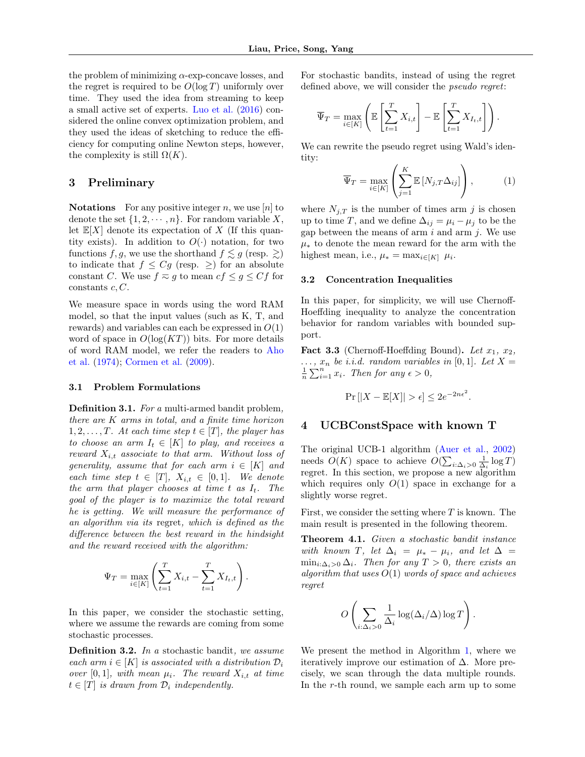the problem of minimizing  $\alpha$ -exp-concave losses, and the regret is required to be  $O(\log T)$  uniformly over time. They used the idea from streaming to keep a small active set of experts. [Luo et al.](#page-8-19) [\(2016\)](#page-8-19) considered the online convex optimization problem, and they used the ideas of sketching to reduce the efficiency for computing online Newton steps, however, the complexity is still  $\Omega(K)$ .

# <span id="page-2-0"></span>3 Preliminary

**Notations** For any positive integer n, we use  $[n]$  to denote the set  $\{1, 2, \dots, n\}$ . For random variable X, let  $\mathbb{E}[X]$  denote its expectation of X (If this quantity exists). In addition to  $O(\cdot)$  notation, for two functions f, g, we use the shorthand  $f \lesssim g$  (resp.  $\gtrsim$ ) to indicate that  $f \leq Cg$  (resp.  $\geq$ ) for an absolute constant C. We use  $f \approx g$  to mean  $cf \leq g \leq Cf$  for constants  $c, C$ .

We measure space in words using the word RAM model, so that the input values (such as K, T, and rewards) and variables can each be expressed in  $O(1)$ word of space in  $O(\log(KT))$  bits. For more details of word RAM model, we refer the readers to [Aho](#page-8-20) [et al.](#page-8-20) [\(1974\)](#page-8-20); [Cormen et al.](#page-8-21) [\(2009\)](#page-8-21).

#### 3.1 Problem Formulations

Definition 3.1. For a multi-armed bandit problem, there are K arms in total, and a finite time horizon 1, 2, ..., T. At each time step  $t \in [T]$ , the player has to choose an arm  $I_t \in [K]$  to play, and receives a reward  $X_{i,t}$  associate to that arm. Without loss of generality, assume that for each arm  $i \in [K]$  and each time step  $t \in [T]$ ,  $X_{i,t} \in [0,1]$ . We denote the arm that player chooses at time t as  $I_t$ . The goal of the player is to maximize the total reward he is getting. We will measure the performance of an algorithm via its regret, which is defined as the difference between the best reward in the hindsight and the reward received with the algorithm:

$$
\Psi_T = \max_{i \in [K]} \left( \sum_{t=1}^T X_{i,t} - \sum_{t=1}^T X_{I_t,t} \right).
$$

In this paper, we consider the stochastic setting, where we assume the rewards are coming from some stochastic processes.

Definition 3.2. In a stochastic bandit, we assume each arm  $i \in [K]$  is associated with a distribution  $\mathcal{D}_i$ over [0, 1], with mean  $\mu_i$ . The reward  $X_{i,t}$  at time  $t \in [T]$  is drawn from  $\mathcal{D}_i$  independently.

For stochastic bandits, instead of using the regret defined above, we will consider the pseudo regret:

$$
\overline{\Psi}_T = \max_{i \in [K]} \left( \mathbb{E} \left[ \sum_{t=1}^T X_{i,t} \right] - \mathbb{E} \left[ \sum_{t=1}^T X_{I_t,t} \right] \right).
$$

We can rewrite the pseudo regret using Wald's identity:

$$
\overline{\Psi}_T = \max_{i \in [K]} \left( \sum_{j=1}^K \mathbb{E} \left[ N_{j,T} \Delta_{ij} \right] \right), \tag{1}
$$

where  $N_{j,T}$  is the number of times arm j is chosen up to time T, and we define  $\Delta_{ij} = \mu_i - \mu_j$  to be the gap between the means of arm  $i$  and arm  $j$ . We use  $\mu_*$  to denote the mean reward for the arm with the highest mean, i.e.,  $\mu_* = \max_{i \in [K]} \mu_i$ .

#### 3.2 Concentration Inequalities

In this paper, for simplicity, we will use Chernoff-Hoeffding inequality to analyze the concentration behavior for random variables with bounded support.

**Fact 3.3** (Chernoff-Hoeffding Bound). Let  $x_1, x_2,$  $\ldots$ ,  $x_n$  be *i.i.d.* random variables in [0, 1]. Let X =  $\frac{1}{n}\sum_{i=1}^{n}x_i$ . Then for any  $\epsilon > 0$ ,

$$
\Pr\left[|X - \mathbb{E}[X]\right] > \epsilon \le 2e^{-2n\epsilon^2}.
$$

#### <span id="page-2-1"></span>4 UCBConstSpace with known T

The original UCB-1 algorithm [\(Auer et al.,](#page-8-0) [2002\)](#page-8-0) needs  $O(K)$  space to achieve  $O(\sum_{i:\Delta_i>0} \frac{1}{\Delta_i} \log T)$ regret. In this section, we propose a new algorithm which requires only  $O(1)$  space in exchange for a slightly worse regret.

First, we consider the setting where  $T$  is known. The main result is presented in the following theorem.

<span id="page-2-2"></span>Theorem 4.1. Given a stochastic bandit instance with known T, let  $\Delta_i = \mu_* - \mu_i$ , and let  $\Delta =$  $\min_{i:\Delta_i>0}\Delta_i$ . Then for any  $T>0$ , there exists an algorithm that uses  $O(1)$  words of space and achieves regret

$$
O\left(\sum_{i:\Delta_i>0}\frac{1}{\Delta_i}\log(\Delta_i/\Delta)\log T\right)
$$

.

We present the method in Algorithm [1,](#page-3-0) where we iteratively improve our estimation of  $\Delta$ . More precisely, we scan through the data multiple rounds. In the r-th round, we sample each arm up to some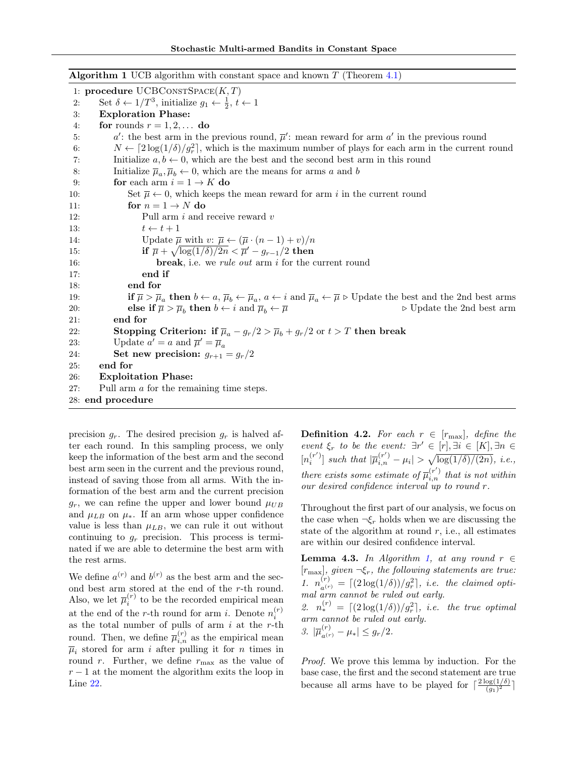<span id="page-3-0"></span>**Algorithm 1** UCB algorithm with constant space and known  $T$  (Theorem [4.1\)](#page-2-2) 1: procedure  $UCBCONSTSPACE(K, T)$ 2: Set  $\delta \leftarrow 1/T^3$ , initialize  $g_1 \leftarrow \frac{1}{2}, t \leftarrow 1$ 3: Exploration Phase: 4: for rounds  $r = 1, 2, \ldots$  do 5:  $a'$ : the best arm in the previous round,  $\overline{\mu}'$ : mean reward for arm  $a'$  in the previous round 6:  $N \leftarrow [2\log(1/\delta)/g_r^2]$ , which is the maximum number of plays for each arm in the current round 7: Initialize  $a, b \leftarrow 0$ , which are the best and the second best arm in this round 8: Initialize  $\overline{\mu}_a, \overline{\mu}_b \leftarrow 0$ , which are the means for arms a and b 9: **for** each arm  $i = 1 \rightarrow K$  do 10: Set  $\overline{\mu} \leftarrow 0$ , which keeps the mean reward for arm i in the current round 11: for  $n = 1 \rightarrow N$  do 12: Pull arm i and receive reward v 13:  $t \leftarrow t + 1$ 14: Update  $\overline{\mu}$  with  $v: \overline{\mu} \leftarrow (\overline{\mu} \cdot (n-1) + v)/n$ 15:  $\qquad \qquad \textbf{if} \ \overline{\mu} + \sqrt{\log(1/\delta)/2n} < \overline{\mu}' - g_{r-1}/2 \ \textbf{then}$ 16: **break**, i.e. we *rule out* arm *i* for the current round 17: end if 18: end for 19: **if**  $\overline{\mu} > \overline{\mu}_a$  then  $b \leftarrow a$ ,  $\overline{\mu}_b \leftarrow \overline{\mu}_a$ ,  $a \leftarrow i$  and  $\overline{\mu}_a \leftarrow \overline{\mu}$   $\triangleright$  Update the best and the 2nd best arms 20: **else if**  $\overline{\mu} > \overline{\mu}_b$  **then**  $b \leftarrow i$  and  $\overline{\mu}_b \leftarrow \overline{\mu}$  $\triangleright$  Update the 2nd best arm 21: end for 22: Stopping Criterion: if  $\overline{\mu}_a - g_r/2 > \overline{\mu}_b + g_r/2$  or  $t > T$  then break 23: Update  $a' = a$  and  $\overline{\mu}' = \overline{\mu}_a$ 24: **Set new precision:**  $g_{r+1} = g_r/2$ 25: end for 26: Exploitation Phase: 27: Pull arm a for the remaining time steps. 28: end procedure

precision  $g_r$ . The desired precision  $g_r$  is halved after each round. In this sampling process, we only keep the information of the best arm and the second best arm seen in the current and the previous round, instead of saving those from all arms. With the information of the best arm and the current precision  $g_r$ , we can refine the upper and lower bound  $\mu_{UB}$ and  $\mu_{LB}$  on  $\mu_*$ . If an arm whose upper confidence value is less than  $\mu_{LB}$ , we can rule it out without continuing to  $g_r$  precision. This process is terminated if we are able to determine the best arm with the rest arms.

We define  $a^{(r)}$  and  $b^{(r)}$  as the best arm and the second best arm stored at the end of the r-th round. Also, we let  $\overline{\mu}_i^{(r)}$  to be the recorded empirical mean at the end of the *r*-th round for arm *i*. Denote  $n_i^{(r)}$ as the total number of pulls of arm  $i$  at the r-th round. Then, we define  $\overline{\mu}_{i,n}^{(r)}$  as the empirical mean  $\overline{\mu}_i$  stored for arm *i* after pulling it for *n* times in round r. Further, we define  $r_{\text{max}}$  as the value of  $r - 1$  at the moment the algorithm exits the loop in Line [22.](#page-3-0)

**Definition 4.2.** For each  $r \in [r_{\text{max}}]$ , define the event  $\xi_r$  to be the event:  $\exists r' \in [r], \exists i \in [K], \exists n \in$  $[n_i^{(r')}]$  such that  $|\overline{\mu}_{i,n}^{(r')} - \mu_i| > \sqrt{\log(1/\delta)/(2n)}$ , i.e., there exists some estimate of  $\overline{\mu}_{i,n}^{(r')}$  that is not within our desired confidence interval up to round r.

Throughout the first part of our analysis, we focus on the case when  $\neg \xi_r$  holds when we are discussing the state of the algorithm at round  $r$ , i.e., all estimates are within our desired confidence interval.

<span id="page-3-1"></span>**Lemma 4.3.** In Algorithm [1,](#page-3-0) at any round  $r \in$  $[r_{\text{max}}]$ , given  $\neg \xi_r$ , the following statements are true: 1.  $n_{a^{(r)}}^{(r)} = \lceil (2 \log(1/\delta)) / g_r^2 \rceil$ , i.e. the claimed optimal arm cannot be ruled out early.

2.  $n_*^{(r)} = \lfloor (2\log(1/\delta))/g_r^2 \rfloor$ , *i.e.* the true optimal arm cannot be ruled out early. 3.  $|\overline{\mu}_{a^{(r)}}^{(r)} - \mu_*| \leq g_r/2.$ 

Proof. We prove this lemma by induction. For the base case, the first and the second statement are true because all arms have to be played for  $\frac{2 \log(1/\delta)}{(\alpha)^2}$  $\frac{\log(1/\delta)}{(g_1)^2}$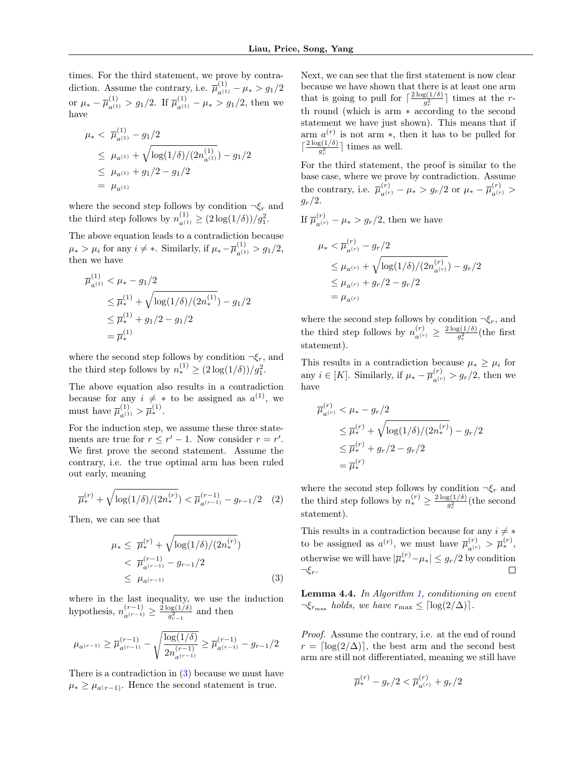times. For the third statement, we prove by contradiction. Assume the contrary, i.e.  $\overline{\mu}_{a^{(1)}}^{(1)} - \mu_* > g_1/2$ or  $\mu_* - \overline{\mu}_{a^{(1)}}^{(1)} > g_1/2$ . If  $\overline{\mu}_{a^{(1)}}^{(1)} - \mu_* > g_1/2$ , then we have

$$
\mu_{*} < \overline{\mu}_{a^{(1)}}^{(1)} - g_1/2
$$
\n
$$
\leq \mu_{a^{(1)}} + \sqrt{\log(1/\delta)/(2n_{a^{(1)}}^{(1)})} - g_1/2
$$
\n
$$
\leq \mu_{a^{(1)}} + g_1/2 - g_1/2
$$
\n
$$
= \mu_{a^{(1)}}
$$

where the second step follows by condition  $\neg \xi_r$  and the third step follows by  $n_{a^{(1)}}^{(1)} \geq (2 \log(1/\delta))/g_1^2$ .

The above equation leads to a contradiction because  $\mu_* > \mu_i$  for any  $i \neq *$ . Similarly, if  $\mu_* - \overline{\mu}_{a^{(1)}}^{(1)} > g_1/2$ , then we have

$$
\overline{\mu}_{a^{(1)}}^{(1)} < \mu_* - g_1/2
$$
\n
$$
\leq \overline{\mu}_*^{(1)} + \sqrt{\log(1/\delta)/(2n_*^{(1)})} - g_1/2
$$
\n
$$
\leq \overline{\mu}_*^{(1)} + g_1/2 - g_1/2
$$
\n
$$
= \overline{\mu}_*^{(1)}
$$

where the second step follows by condition  $\neg \xi_r$ , and the third step follows by  $n_*^{(1)} \geq (2 \log(1/\delta)) / g_1^2$ .

The above equation also results in a contradiction because for any  $i \neq *$  to be assigned as  $a^{(1)}$ , we must have  $\bar{\mu}_{a^{(1)}}^{(1)} > \bar{\mu}_{*}^{(1)}$ .

For the induction step, we assume these three statements are true for  $r \leq r' - 1$ . Now consider  $r = r'$ . We first prove the second statement. Assume the contrary, i.e. the true optimal arm has been ruled out early, meaning

$$
\overline{\mu}_{*}^{(r)} + \sqrt{\log(1/\delta)/(2n_{*}^{(r)})} < \overline{\mu}_{a^{(r-1)}}^{(r-1)} - g_{r-1}/2 \quad (2)
$$

Then, we can see that

$$
\mu_* \leq \overline{\mu}_*^{(r)} + \sqrt{\log(1/\delta)/(2n_*^{(r)})}
$$
  

$$
< \overline{\mu}_{a^{(r-1)}}^{(r-1)} - g_{r-1}/2
$$
  

$$
\leq \mu_{a^{(r-1)}} \tag{3}
$$

where in the last inequality, we use the induction hypothesis,  $n_{a^{(r-1)}}^{(r-1)} \geq \frac{2 \log(1/\delta)}{g_{r-1}^2}$  $rac{p g(1/\sigma)}{g_{r-1}^2}$  and then

$$
\mu_{a^{(r-1)}} \geq \overline{\mu}^{(r-1)}_{a^{(r-1)}} - \sqrt{\frac{\log(1/\delta)}{2n_{a^{(r-1)}}^{(r-1)}}} \geq \overline{\mu}^{(r-1)}_{a^{(r-1)}} - g_{r-1}/2
$$

There is a contradiction in [\(3\)](#page-4-0) because we must have  $\mu_* \geq \mu_{a(r-1)}$ . Hence the second statement is true.

Next, we can see that the first statement is now clear because we have shown that there is at least one arm that is going to pull for  $\lceil \frac{2 \log(1/\delta)}{a^2} \rceil$  $\frac{g(1/\sigma)}{g_r^2}$  times at the rth round (which is arm ∗ according to the second statement we have just shown). This means that if arm  $a^{(r)}$  is not arm  $\ast$ , then it has to be pulled for  $\lceil \frac{2 \log(1/\delta)}{a^2} \rceil$  $\frac{g(1/\delta)}{g_r^2}$  times as well.

For the third statement, the proof is similar to the base case, where we prove by contradiction. Assume the contrary, i.e.  $\overline{\mu}_{a^{(r)}}^{(r)} - \mu_* > g_r/2$  or  $\mu_* - \overline{\mu}_{a^{(r)}}^{(r)} >$  $g_r/2$ .

If  $\overline{\mu}_{a^{(r)}}^{(r)} - \mu_* > g_r/2$ , then we have

$$
\mu_* < \overline{\mu}_{a^{(r)}}^{(r)} - g_r/2
$$
  
\n
$$
\leq \mu_{a^{(r)}} + \sqrt{\log(1/\delta)/(2n_{a^{(r)}}^{(r)})} - g_r/2
$$
  
\n
$$
\leq \mu_{a^{(r)}} + g_r/2 - g_r/2
$$
  
\n
$$
= \mu_{a^{(r)}}
$$

where the second step follows by condition  $\neg \xi_r$ , and the third step follows by  $n_{a^{(r)}}^{(r)} \geq \frac{2 \log(1/\delta)}{g_r^2}$  $\frac{g(1/\delta)}{g_r^2}$ (the first statement).

This results in a contradiction because  $\mu_* \geq \mu_i$  for any  $i \in [K]$ . Similarly, if  $\mu_* - \overline{\mu}_{a^{(r)}}^{(r)} > g_r/2$ , then we have

$$
\overline{\mu}_{a^{(r)}}^{(r)} < \mu_* - g_r/2
$$
\n
$$
\leq \overline{\mu}_*^{(r)} + \sqrt{\log(1/\delta)/(2n_*^{(r)})} - g_r/2
$$
\n
$$
\leq \overline{\mu}_*^{(r)} + g_r/2 - g_r/2
$$
\n
$$
= \overline{\mu}_*^{(r)}
$$

where the second step follows by condition  $\neg \xi_r$  and the third step follows by  $n_{*}^{(r)} \geq \frac{2 \log(1/\delta)}{q^2}$  $rac{g(1/\theta)}{g_r^2}$ (the second statement).

This results in a contradiction because for any  $i \neq *$ to be assigned as  $a^{(r)}$ , we must have  $\overline{\mu}_{a^{(r)}}^{(r)} > \overline{\mu}_{*}^{(r)},$ otherwise we will have  $|\overline{\mu}_{*}^{(r)} - \mu_{*}| \leq g_{r}/2$  by condition  $\neg \xi_r$ .

<span id="page-4-1"></span><span id="page-4-0"></span>Lemma 4.4. In Algorithm [1,](#page-3-0) conditioning on event  $\neg \xi_{r_{\text{max}}}$  holds, we have  $r_{\text{max}} \leq \lceil \log(2/\Delta) \rceil$ .

Proof. Assume the contrary, i.e. at the end of round  $r = \lfloor \log(2/\Delta) \rfloor$ , the best arm and the second best arm are still not differentiated, meaning we still have

$$
\overline{\mu}_{*}^{(r)} - g_{r}/2 < \overline{\mu}_{a^{(r)}}^{(r)} + g_{r}/2
$$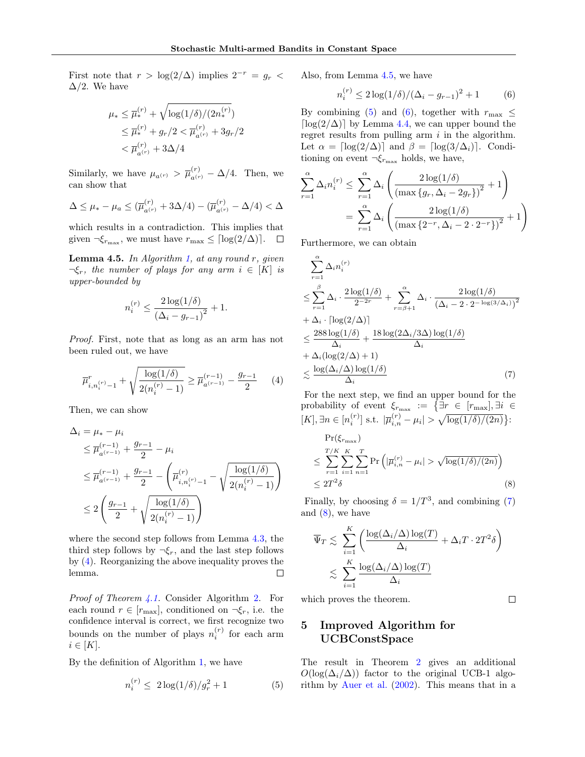First note that  $r > \log(2/\Delta)$  implies  $2^{-r} = g_r$  $\Delta/2$ . We have

$$
\mu_* \le \overline{\mu}_*^{(r)} + \sqrt{\log(1/\delta)/(2n_*^{(r)})}
$$
  
\n
$$
\le \overline{\mu}_*^{(r)} + g_r/2 < \overline{\mu}_{a^{(r)}}^{(r)} + 3g_r/2
$$
  
\n
$$
< \overline{\mu}_{a^{(r)}}^{(r)} + 3\Delta/4
$$

Similarly, we have  $\mu_{a^{(r)}} > \overline{\mu}_{a^{(r)}}^{(r)} - \Delta/4$ . Then, we can show that

$$
\Delta \le \mu_* - \mu_a \le (\overline{\mu}_{a^{(r)}}^{(r)} + 3\Delta/4) - (\overline{\mu}_{a^{(r)}}^{(r)} - \Delta/4) < \Delta
$$

which results in a contradiction. This implies that given  $\neg \xi_{r_{\text{max}}}$ , we must have  $r_{\text{max}} \leq \lceil \log(2/\Delta) \rceil$ .  $\Box$ 

<span id="page-5-2"></span>**Lemma 4.5.** In Algorithm [1,](#page-3-0) at any round  $r$ , given  $\neg \xi_r$ , the number of plays for any arm  $i \in [K]$  is upper-bounded by

$$
n_i^{(r)} \le \frac{2\log(1/\delta)}{(\Delta_i - g_{r-1})^2} + 1.
$$

Proof. First, note that as long as an arm has not been ruled out, we have

<span id="page-5-1"></span>
$$
\overline{\mu}_{i,n_i^{(r)}-1}^r + \sqrt{\frac{\log(1/\delta)}{2(n_i^{(r)}-1)}} \ge \overline{\mu}_{a^{(r-1)}}^{(r-1)} - \frac{g_{r-1}}{2} \qquad (4)
$$

Then, we can show

$$
\Delta_{i} = \mu_{*} - \mu_{i}
$$
\n
$$
\leq \overline{\mu}_{a^{(r-1)}}^{(r-1)} + \frac{g_{r-1}}{2} - \mu_{i}
$$
\n
$$
\leq \overline{\mu}_{a^{(r-1)}}^{(r-1)} + \frac{g_{r-1}}{2} - \left(\overline{\mu}_{i,n_{i}^{(r)}-1}^{(r)} - \sqrt{\frac{\log(1/\delta)}{2(n_{i}^{(r)}-1)}}\right)
$$
\n
$$
\leq 2\left(\frac{g_{r-1}}{2} + \sqrt{\frac{\log(1/\delta)}{2(n_{i}^{(r)}-1)}}\right)
$$

where the second step follows from Lemma [4.3,](#page-3-1) the third step follows by  $\neg \xi_r$ , and the last step follows by [\(4\)](#page-5-1). Reorganizing the above inequality proves the lemma.  $\Box$ 

Proof of Theorem [4.1.](#page-2-2) Consider Algorithm [2.](#page-7-1) For each round  $r \in [r_{\text{max}}]$ , conditioned on  $\neg \xi_r$ , i.e. the confidence interval is correct, we first recognize two bounds on the number of plays  $n_i^{(r)}$  for each arm  $i \in [K]$ .

By the definition of Algorithm [1,](#page-3-0) we have

<span id="page-5-3"></span>
$$
n_i^{(r)} \le 2\log(1/\delta)/g_r^2 + 1 \tag{5}
$$

Also, from Lemma [4.5,](#page-5-2) we have

<span id="page-5-4"></span>
$$
n_i^{(r)} \le 2\log(1/\delta)/(\Delta_i - g_{r-1})^2 + 1 \tag{6}
$$

By combining [\(5\)](#page-5-3) and [\(6\)](#page-5-4), together with  $r_{\text{max}} \leq$ [ $\log(2/\Delta)$ ] by Lemma [4.4,](#page-4-1) we can upper bound the regret results from pulling arm  $i$  in the algorithm. Let  $\alpha = \lceil \log(2/\Delta) \rceil$  and  $\beta = \lceil \log(3/\Delta_i) \rceil$ . Conditioning on event  $\neg \xi_{r_{\text{max}}}$  holds, we have,

$$
\sum_{r=1}^{\alpha} \Delta_i n_i^{(r)} \le \sum_{r=1}^{\alpha} \Delta_i \left( \frac{2 \log(1/\delta)}{(\max\{g_r, \Delta_i - 2g_r\})^2} + 1 \right)
$$

$$
= \sum_{r=1}^{\alpha} \Delta_i \left( \frac{2 \log(1/\delta)}{(\max\{2^{-r}, \Delta_i - 2 \cdot 2^{-r}\})^2} + 1 \right)
$$

Furthermore, we can obtain

$$
\sum_{r=1}^{\alpha} \Delta_i n_i^{(r)}\n\leq \sum_{r=1}^{\beta} \Delta_i \cdot \frac{2 \log(1/\delta)}{2^{-2r}} + \sum_{r=\beta+1}^{\alpha} \Delta_i \cdot \frac{2 \log(1/\delta)}{(\Delta_i - 2 \cdot 2^{-\log(3/\Delta_i)})^2}\n+ \Delta_i \cdot \left[\log(2/\Delta)\right]\n\leq \frac{288 \log(1/\delta)}{\Delta_i} + \frac{18 \log(2\Delta_i/3\Delta) \log(1/\delta)}{\Delta_i}\n+ \Delta_i (\log(2/\Delta) + 1)\n\leq \frac{\log(\Delta_i/\Delta) \log(1/\delta)}{\Delta_i}
$$
\n(7)

For the next step, we find an upper bound for the probability of event  $\xi_{r_{\text{max}}} := \{\exists r \in [r_{\text{max}}], \exists i \in$  $[K], \exists n \in [n_i^{(r)}] \text{ s.t. } |\overline{\mu}_{i,n}^{(r)} - \mu_i| > \sqrt{\log(1/\delta)/(2n)}\}$ :

<span id="page-5-5"></span>
$$
\Pr(\xi_{r_{\max}})
$$
\n
$$
\leq \sum_{r=1}^{T/K} \sum_{i=1}^{K} \sum_{n=1}^{T} \Pr\left(|\overline{\mu}_{i,n}^{(r)} - \mu_i| > \sqrt{\log(1/\delta)/(2n)}\right)
$$
\n
$$
\leq 2T^2 \delta
$$
\n(8)

Finally, by choosing  $\delta = 1/T^3$ , and combining [\(7\)](#page-5-5) and  $(8)$ , we have

$$
\overline{\Psi}_{T} \lesssim \sum_{i=1}^{K} \left( \frac{\log(\Delta_{i}/\Delta) \log(T)}{\Delta_{i}} + \Delta_{i} T \cdot 2T^{2} \delta \right)
$$

$$
\lesssim \sum_{i=1}^{K} \frac{\log(\Delta_{i}/\Delta) \log(T)}{\Delta_{i}}
$$

which proves the theorem.

<span id="page-5-6"></span> $\Box$ 

# <span id="page-5-0"></span>5 Improved Algorithm for UCBConstSpace

The result in Theorem [2](#page-7-1) gives an additional  $O(\log(\Delta_i/\Delta))$  factor to the original UCB-1 algorithm by [Auer et al.](#page-8-0) [\(2002\)](#page-8-0). This means that in a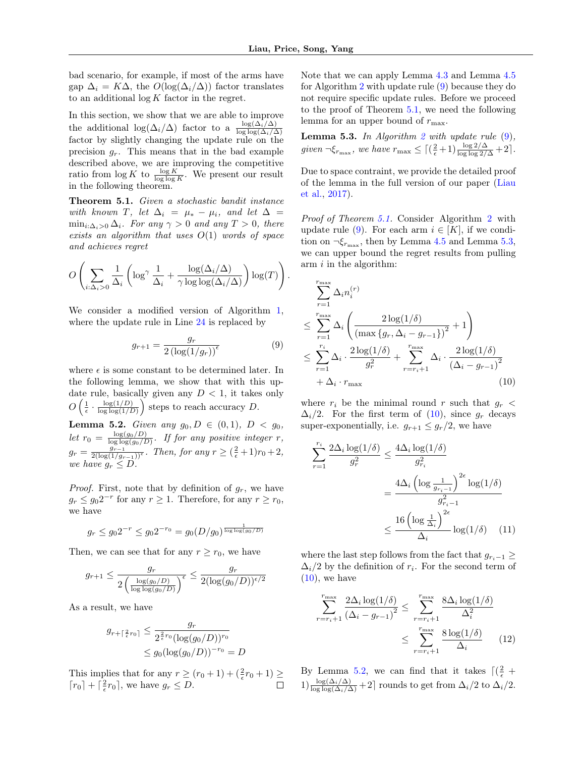bad scenario, for example, if most of the arms have gap  $\Delta_i = K\Delta$ , the  $O(log(\Delta_i/\Delta))$  factor translates to an additional  $\log K$  factor in the regret.

In this section, we show that we are able to improve the additional  $\log(\Delta_i/\Delta)$  factor to a  $\frac{\log(\Delta_i/\Delta)}{\log \log(\Delta_i/\Delta)}$ factor by slightly changing the update rule on the precision  $g_r$ . This means that in the bad example described above, we are improving the competitive ratio from  $\log K$  to  $\frac{\log K}{\log \log K}$ . We present our result in the following theorem.

<span id="page-6-1"></span>Theorem 5.1. Given a stochastic bandit instance with known T, let  $\Delta_i = \mu_* - \mu_i$ , and let  $\Delta =$  $\min_{i:\Delta_i>0}\Delta_i$ . For any  $\gamma>0$  and any  $T>0$ , there exists an algorithm that uses  $O(1)$  words of space and achieves regret

$$
O\left(\sum_{i:\Delta_i>0}\frac{1}{\Delta_i}\left(\log^{\gamma}\frac{1}{\Delta_i}+\frac{\log(\Delta_i/\Delta)}{\gamma\log\log(\Delta_i/\Delta)}\right)\log(T)\right).
$$

We consider a modified version of Algorithm [1,](#page-3-0) where the update rule in Line [24](#page-3-0) is replaced by

<span id="page-6-0"></span>
$$
g_{r+1} = \frac{g_r}{2\left(\log(1/g_r)\right)^{\epsilon}}\tag{9}
$$

where  $\epsilon$  is some constant to be determined later. In the following lemma, we show that with this update rule, basically given any  $D < 1$ , it takes only  $O\left(\frac{1}{\epsilon} \cdot \frac{\log(1/D)}{\log\log(1/L)}\right)$  $\frac{\log(1/D)}{\log\log(1/D)}$  steps to reach accuracy D.

<span id="page-6-4"></span>**Lemma 5.2.** Given any  $g_0, D \in (0,1)$ ,  $D < g_0$ , let  $r_0 = \frac{\log(g_0/D)}{\log\log(g_0/D)}$  $\frac{\log(g_0/D)}{\log\log(g_0/D)}$ . If for any positive integer r,  $g_r = \frac{g_{r-1}}{2(\log(1/g_{r-1}))^{\epsilon}}$ . Then, for any  $r \geq (\frac{2}{\epsilon}+1)r_0+2$ , we have  $g_r \leq D$ .

*Proof.* First, note that by definition of  $g_r$ , we have  $g_r \leq g_0 2^{-r}$  for any  $r \geq 1$ . Therefore, for any  $r \geq r_0$ , we have

$$
g_r \le g_0 2^{-r} \le g_0 2^{-r_0} = g_0 (D/g_0)^{\frac{1}{\log \log(g_0/D)}}
$$

Then, we can see that for any  $r \ge r_0$ , we have

$$
g_{r+1} \le \frac{g_r}{2\left(\frac{\log(g_0/D)}{\log\log(g_0/D)}\right)^{\epsilon}} \le \frac{g_r}{2(\log(g_0/D))^{\epsilon/2}}
$$

As a result, we have

$$
g_{r+\lceil \frac{2}{\epsilon}r_0 \rceil} \le \frac{g_r}{2^{\frac{2}{\epsilon}r_0} (\log(g_0/D))^{r_0}}
$$
  
\$\le g\_0 (\log(g\_0/D))^{-r\_0} = D\$

This implies that for any  $r \ge (r_0 + 1) + (\frac{2}{\epsilon}r_0 + 1) \ge$  $\lceil r_0 \rceil + \lceil \frac{2}{\epsilon} r_0 \rceil$ , we have  $g_r \leq D$ .

Note that we can apply Lemma [4.3](#page-3-1) and Lemma [4.5](#page-5-2) for Algorithm [2](#page-7-1) with update rule [\(9\)](#page-6-0) because they do not require specific update rules. Before we proceed to the proof of Theorem [5.1,](#page-6-1) we need the following lemma for an upper bound of  $r_{\text{max}}$ .

<span id="page-6-2"></span>**Lemma 5.3.** In Algorithm [2](#page-7-1) with update rule  $(9)$ , given  $\neg \xi_{r_{\text{max}}}$ , we have  $r_{\text{max}} \leq \left[ \left( \frac{2}{\epsilon} + 1 \right) \frac{\log 2/\Delta}{\log \log 2/\Delta} + 2 \right]$ .

Due to space contraint, we provide the detailed proof of the lemma in the full version of our paper [\(Liau](#page-8-22) [et al.,](#page-8-22) [2017\)](#page-8-22).

Proof of Theorem [5.1.](#page-6-1) Consider Algorithm [2](#page-7-1) with update rule [\(9\)](#page-6-0). For each arm  $i \in [K]$ , if we condition on  $\neg \xi_{r_{\text{max}}}$ , then by Lemma [4.5](#page-5-2) and Lemma [5.3,](#page-6-2) we can upper bound the regret results from pulling arm i in the algorithm:

$$
\sum_{r=1}^{r_{\max}} \Delta_i n_i^{(r)} \le \sum_{r=1}^{r_{\max}} \Delta_i \left( \frac{2 \log(1/\delta)}{\left( \max\{g_r, \Delta_i - g_{r-1}\}\right)^2} + 1 \right) \le \sum_{r=1}^{r_i} \Delta_i \cdot \frac{2 \log(1/\delta)}{g_r^2} + \sum_{r=r_i+1}^{r_{\max}} \Delta_i \cdot \frac{2 \log(1/\delta)}{(\Delta_i - g_{r-1})^2} + \Delta_i \cdot r_{\max} \tag{10}
$$

where  $r_i$  be the minimal round r such that  $g_r$  $\Delta_i/2$ . For the first term of [\(10\)](#page-6-3), since  $g_r$  decays super-exponentially, i.e.  $g_{r+1} \leq g_r/2$ , we have

<span id="page-6-3"></span>
$$
\sum_{r=1}^{r_i} \frac{2\Delta_i \log(1/\delta)}{g_r^2} \le \frac{4\Delta_i \log(1/\delta)}{g_{r_i}^2}
$$

$$
= \frac{4\Delta_i \left(\log \frac{1}{g_{r_i-1}}\right)^{2\epsilon} \log(1/\delta)}{g_{r_i-1}^2}
$$

$$
\le \frac{16 \left(\log \frac{1}{\Delta_i}\right)^{2\epsilon}}{\Delta_i} \log(1/\delta) \quad (11)
$$

where the last step follows from the fact that  $g_{r_i-1} \geq$  $\Delta_i/2$  by the definition of  $r_i$ . For the second term of  $(10)$ , we have

<span id="page-6-6"></span><span id="page-6-5"></span>
$$
\sum_{r=r_i+1}^{r_{\text{max}}} \frac{2\Delta_i \log(1/\delta)}{(\Delta_i - g_{r-1})^2} \le \sum_{r=r_i+1}^{r_{\text{max}}} \frac{8\Delta_i \log(1/\delta)}{\Delta_i^2}
$$

$$
\le \sum_{r=r_i+1}^{r_{\text{max}}} \frac{8\log(1/\delta)}{\Delta_i} \qquad (12)
$$

By Lemma [5.2,](#page-6-4) we can find that it takes  $\lceil (\frac{2}{\epsilon} +$  $1) \frac{\log(\Delta_i/\Delta)}{\log \log(\Delta_i/\Delta)} + 2$  rounds to get from  $\Delta_i/2$  to  $\Delta_i/2$ .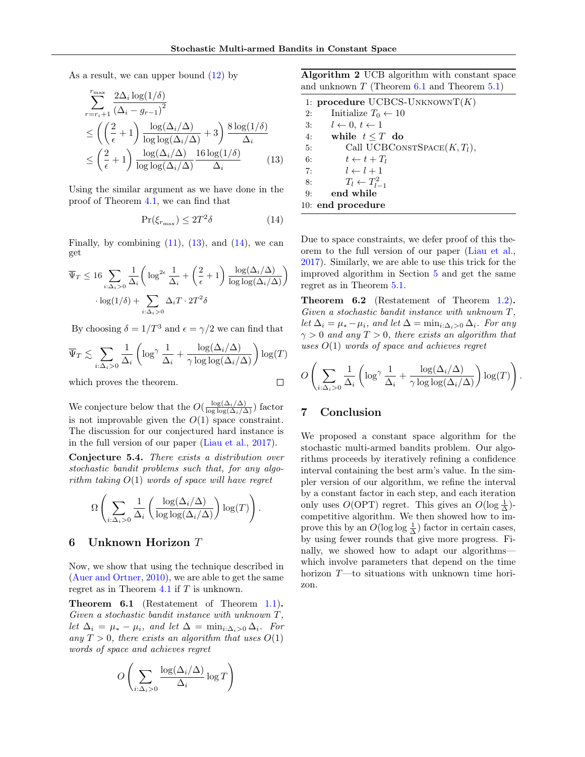As a result, we can upper bound  $(12)$  by

$$
\sum_{r=r_i+1}^{r_{\text{max}}} \frac{2\Delta_i \log(1/\delta)}{(\Delta_i - g_{r-1})^2} \le \left( \left( \frac{2}{\epsilon} + 1 \right) \frac{\log(\Delta_i/\Delta)}{\log \log(\Delta_i/\Delta)} + 3 \right) \frac{8 \log(1/\delta)}{\Delta_i} \le \left( \frac{2}{\epsilon} + 1 \right) \frac{\log(\Delta_i/\Delta)}{\log \log(\Delta_i/\Delta)} \frac{16 \log(1/\delta)}{\Delta_i} \tag{13}
$$

Using the similar argument as we have done in the proof of Theorem [4.1,](#page-2-2) we can find that

<span id="page-7-3"></span>
$$
\Pr(\xi_{r_{\max}}) \le 2T^2 \delta \tag{14}
$$

Finally, by combining  $(11)$ ,  $(13)$ , and  $(14)$ , we can get

$$
\overline{\Psi}_{T} \leq 16 \sum_{i:\Delta_{i}>0} \frac{1}{\Delta_{i}} \left( \log^{2\epsilon} \frac{1}{\Delta_{i}} + \left( \frac{2}{\epsilon} + 1 \right) \frac{\log(\Delta_{i}/\Delta)}{\log \log(\Delta_{i}/\Delta)} \right) \cdot \log(1/\delta) + \sum_{i:\Delta_{i}>0} \Delta_{i} T \cdot 2T^{2} \delta
$$

By choosing  $\delta = 1/T^3$  and  $\epsilon = \gamma/2$  we can find that

$$
\overline{\Psi}_{T} \lesssim \sum_{i:\Delta_{i}>0} \frac{1}{\Delta_{i}} \left( \log^{\gamma} \frac{1}{\Delta_{i}} + \frac{\log(\Delta_{i}/\Delta)}{\gamma \log \log(\Delta_{i}/\Delta)} \right) \log(T)
$$

which proves the theorem.

We conjecture below that the  $O(\frac{\log(\Delta_i/\Delta)}{\log \log(\Delta_i/\Delta)})$  factor is not improvable given the  $O(1)$  space constraint. The discussion for our conjectured hard instance is in the full version of our paper [\(Liau et al.,](#page-8-22) [2017\)](#page-8-22).

Conjecture 5.4. There exists a distribution over stochastic bandit problems such that, for any algorithm taking  $O(1)$  words of space will have regret

$$
\Omega\left(\sum_{i:\Delta_i>0}\frac{1}{\Delta_i}\left(\frac{\log(\Delta_i/\Delta)}{\log\log(\Delta_i/\Delta)}\right)\log(T)\right).
$$

#### <span id="page-7-0"></span>6 Unknown Horizon T

Now, we show that using the technique described in [\(Auer and Ortner,](#page-8-4) [2010\)](#page-8-4), we are able to get the same regret as in Theorem [4.1](#page-2-2) if  $T$  is unknown.

<span id="page-7-4"></span>Theorem 6.1 (Restatement of Theorem [1.1\)](#page-1-0). Given a stochastic bandit instance with unknown T, let  $\Delta_i = \mu_* - \mu_i$ , and let  $\Delta = \min_{i:\Delta_i>0} \Delta_i$ . For any  $T > 0$ , there exists an algorithm that uses  $O(1)$ words of space and achieves regret

$$
O\left(\sum_{i:\Delta_i>0} \frac{\log(\Delta_i/\Delta)}{\Delta_i} \log T\right)
$$

<span id="page-7-1"></span>Algorithm 2 UCB algorithm with constant space and unknown  $T$  (Theorem [6.1](#page-7-4) and Theorem [5.1\)](#page-6-1)

<span id="page-7-2"></span>

|    | 1: procedure UCBCS-UNKNOWNT $(K)$ |
|----|-----------------------------------|
| 2: | Initialize $T_0 \leftarrow 10$    |
| 3: | $l \leftarrow 0, t \leftarrow 1$  |
| 4: | while $t \leq T$ do               |
| 5: | Call UCBCONSTSPACE $(K,T_l),$     |
| 6: | $t \leftarrow t + T_l$            |
| 7: | $l \leftarrow l + 1$              |
| 8: | $T_l \leftarrow T_{l-1}^2$        |
| 9: | end while                         |
|    | 10: end procedure                 |

Due to space constraints, we defer proof of this theorem to the full version of our paper [\(Liau et al.,](#page-8-22) [2017\)](#page-8-22). Similarly, we are able to use this trick for the improved algorithm in Section [5](#page-5-0) and get the same regret as in Theorem [5.1.](#page-6-1)

Theorem 6.2 (Restatement of Theorem [1.2\)](#page-1-2). Given a stochastic bandit instance with unknown T, let  $\Delta_i = \mu_* - \mu_i$ , and let  $\Delta = \min_{i:\Delta_i>0} \Delta_i$ . For any  $\gamma > 0$  and any  $T > 0$ , there exists an algorithm that uses  $O(1)$  words of space and achieves regret

$$
O\left(\sum_{i:\Delta_i>0}\frac{1}{\Delta_i}\left(\log^{\gamma}\frac{1}{\Delta_i}+\frac{\log(\Delta_i/\Delta)}{\gamma\log\log(\Delta_i/\Delta)}\right)\log(T)\right)
$$

.

# 7 Conclusion

 $\Box$ 

We proposed a constant space algorithm for the stochastic multi-armed bandits problem. Our algorithms proceeds by iteratively refining a confidence interval containing the best arm's value. In the simpler version of our algorithm, we refine the interval by a constant factor in each step, and each iteration only uses  $O(OPT)$  regret. This gives an  $O(\log \frac{1}{\Delta})$ competitive algorithm. We then showed how to improve this by an  $O(\log \log \frac{1}{\Delta})$  factor in certain cases, by using fewer rounds that give more progress. Finally, we showed how to adapt our algorithms which involve parameters that depend on the time horizon T—to situations with unknown time horizon.